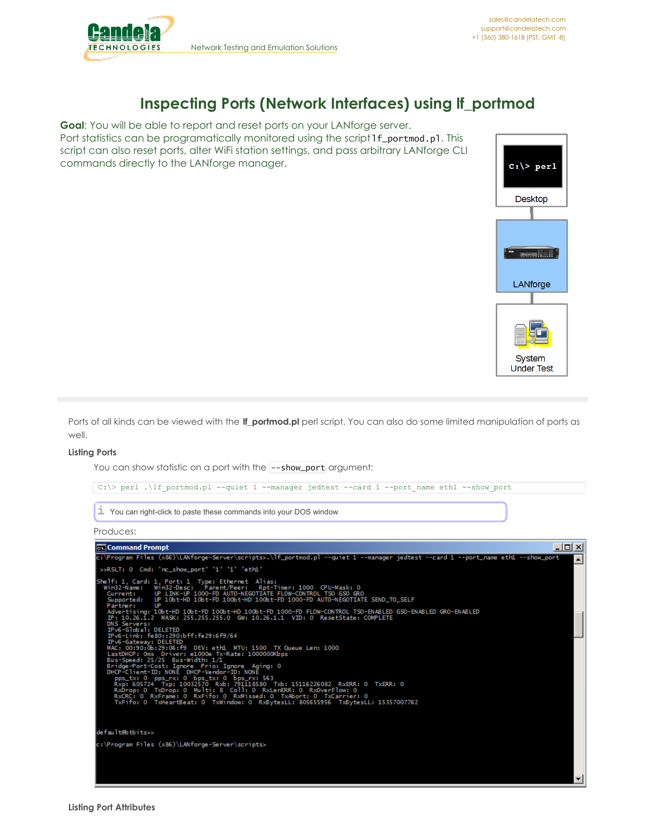

# **Inspecting Ports (Network Interfaces) using lf\_portmod**

**Goal**: You will be able to report and reset ports on your LANforge server. Port statistics can be programatically monitored using the script 1f\_portmod.pl. This script can also reset ports, alter WiFi station settings, and pass arbitrary LANforge CLI commands directly to the LANforge manager.



Ports of all kinds can be viewed with the **lf\_portmod.pl** perl script. You can also do some limited manipulation of ports as well.

## **Listing Ports**

You can show statistic on a port with the --show\_port argument:



Produces:

```
Command Prompt
                                                                                                                                                                                                                               -\Box\times- Program Files (x86)\LANforge-Server\scripts>.\lf_portmod.pl --quiet 1 --manager jedtest --card 1:
                                                                                                                                                                                                                                          ▴
  >>RSLT: 0 Cmd: 'nc_show_port' '1' '1' 'eth1'
  helf: 1, Card: 1, Port: 1  Type: Ethernet  Alias:<br>Win32-Name:   Win32-Desc:  Parent/Peer:   Rpt-Timer: 1000  CPU-Mask: 0<br>  Current:   UP LINK-UP 1000-FD AUTO-NEGOTIATE FLOW-CONTROL TSO GSO GRO<br> Supported:   UP 10bt-HD 10bt
             , .<br>rtising: 10bt-HD 10bt-FD 100bt-HD 100bt-FD 1000-FD FLOW-CONTROL TSO-ENABLED GSO-ENABLED GRO-ENABLED<br>10.26.1.2  MASK: 255.255.255.0  GW: 10.26.1.1  VID: 0  ResetState: COMPLETE
         : 10.26.1.2<br>
S Servers: MASK: 255.255.255.0 GW: 10.26.1.1 VID: 0 ResetState: COMPLETE<br>
v6-Global: DELETED<br>
v6-Global: DELETED<br>
v6-Global: 10.200:bff:fe29:6f9/64<br>
v6-Gateway: DELETED<br>
v6-Gateway: DELETED<br>
stDHCP: Oms Driver
 lefault@btbits>>
 ::\Program Files (x86)\LANforge-Server\scripts>
```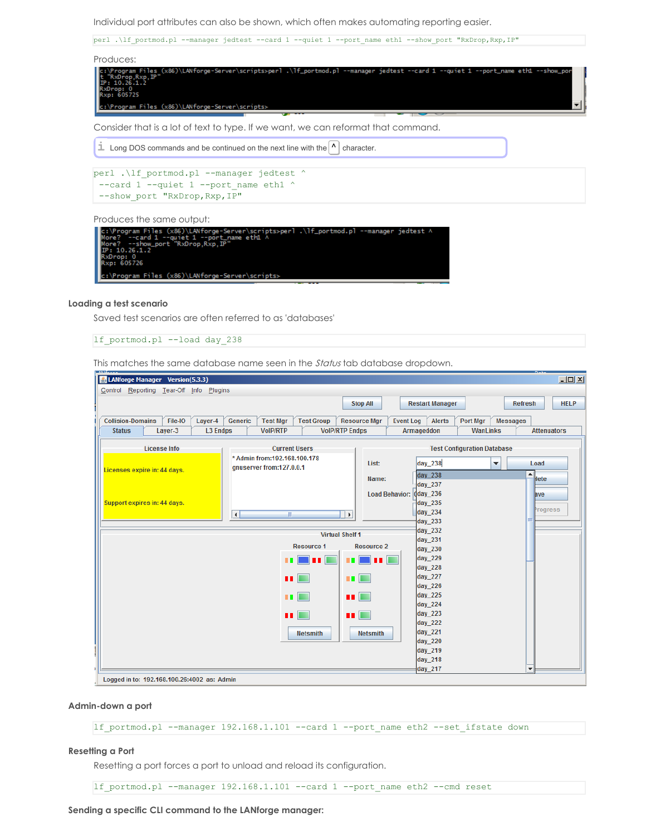Individual port attributes can also be shown, which often makes automating reporting easier.

perl .\lf\_portmod.pl --manager jedtest --card 1 --quiet 1 --port\_name eth1 --show\_port "RxDrop,Rxp,IP"



Consider that is a lot of text to type. If we want, we can reformat that command.

 $\dot{\mathbf{I}}$  Long DOS commands and be continued on the next line with the  $\mathbf{A}$  character.

```
perl .\lf_portmod.pl --manager jedtest ^
 --card 1 -- quiet 1 --port_name eth1 ^--show_port "RxDrop,Rxp,IP"
```
Produces the same output:

| dtest ۸] --It_portmod.pl --manager jedtest="lc:\Program Files (x86)\LANforge-Server\scripts>per |
|-------------------------------------------------------------------------------------------------|
| More? $-$ -card 1 --quiet 1 --port name eth1 $\land$                                            |
| More? --show_port "RxDrop.Rxp.IP"                                                               |
| IP: 10.26.1.2                                                                                   |
| RxDrop: 0<br>Rxp: 605726                                                                        |
|                                                                                                 |
| c:\Program Files (x86)\LANforge-Server\scripts>                                                 |

#### **Loading a test scenario**

Saved test scenarios are often referred to as 'databases'

lf\_portmod.pl --load day\_238

This matches the same database name seen in the *Status* tab database dropdown.

| & LANforge Manager Version(5.3.3)           |                                             |  |                     |                                                           |                      |                     |                                         |                        |                                    |          |                      |                          | $\Box$      |  |
|---------------------------------------------|---------------------------------------------|--|---------------------|-----------------------------------------------------------|----------------------|---------------------|-----------------------------------------|------------------------|------------------------------------|----------|----------------------|--------------------------|-------------|--|
| Control Reporting Tear-Off Info Plugins     |                                             |  |                     |                                                           |                      |                     |                                         |                        |                                    |          |                      |                          |             |  |
|                                             | <b>Stop All</b>                             |  |                     |                                                           |                      |                     |                                         | <b>Restart Manager</b> |                                    |          | <b>Refresh</b>       | <b>HELP</b>              |             |  |
|                                             |                                             |  |                     |                                                           |                      |                     |                                         |                        |                                    |          |                      |                          |             |  |
| <b>Collision-Domains</b>                    | File-IO<br>Layer-4                          |  | Generic             | <b>Test Mgr</b>                                           | <b>Test Group</b>    |                     | <b>Resource Mgr</b><br><b>Event Log</b> |                        | <b>Alerts</b>                      | Port Mgr | <b>Messages</b>      |                          |             |  |
|                                             | <b>L3 Endps</b><br><b>Status</b><br>Layer-3 |  |                     | <b>VolP/RTP Endps</b><br><b>VoIP/RTP</b>                  |                      |                     |                                         |                        | Armageddon<br>WanLinks             |          |                      | <b>Attenuators</b>       |             |  |
| <b>License Info</b>                         |                                             |  |                     |                                                           | <b>Current Users</b> |                     |                                         |                        | <b>Test Configuration Database</b> |          |                      |                          |             |  |
|                                             |                                             |  |                     | * Admin from: 192.168.100.178<br>qnuserver from:127.0.0.1 |                      |                     | List:                                   |                        | day_238                            |          | $\blacktriangledown$ | Load                     |             |  |
|                                             | Licenses expire in: 44 days.                |  |                     |                                                           |                      |                     |                                         |                        | day 238                            |          |                      | ▲                        | <b>Hete</b> |  |
|                                             |                                             |  |                     |                                                           |                      |                     | Name:                                   |                        | $day_237$                          |          |                      |                          |             |  |
|                                             |                                             |  |                     |                                                           |                      |                     |                                         | <b>Load Behavior:</b>  | $\frac{1}{4}$ day_236              |          |                      | ave                      |             |  |
| Support expires in: 44 days.                |                                             |  |                     |                                                           |                      |                     |                                         |                        | $\frac{1}{2}$ day 235              |          |                      |                          |             |  |
|                                             |                                             |  | $\vert \cdot \vert$ | TIL.                                                      |                      | $\vert \cdot \vert$ |                                         |                        | day_234                            |          |                      |                          | Progress    |  |
|                                             |                                             |  |                     |                                                           |                      |                     |                                         |                        | $day_233$                          |          |                      |                          |             |  |
|                                             | <b>Virtual Shelf 1</b>                      |  |                     |                                                           |                      |                     |                                         |                        | day_232                            |          |                      |                          |             |  |
|                                             | <b>Resource 1</b>                           |  |                     |                                                           |                      |                     | <b>Resource 2</b>                       |                        | day 231<br>day 230                 |          |                      |                          |             |  |
|                                             |                                             |  |                     |                                                           |                      |                     | ni mil                                  |                        | day_229                            |          |                      |                          |             |  |
|                                             |                                             |  |                     | п.                                                        |                      |                     |                                         |                        | day 228                            |          |                      |                          |             |  |
|                                             | $\blacksquare$                              |  |                     |                                                           |                      |                     | <b>THE R</b>                            |                        | day_227                            |          |                      |                          |             |  |
|                                             |                                             |  |                     |                                                           |                      |                     |                                         |                        | day 226                            |          |                      |                          |             |  |
|                                             | <b>THE REA</b>                              |  |                     |                                                           |                      |                     | <b>TILL</b>                             |                        | day_225                            |          |                      |                          |             |  |
|                                             |                                             |  |                     |                                                           |                      |                     |                                         |                        | day 224                            |          |                      |                          |             |  |
|                                             |                                             |  |                     |                                                           | $\blacksquare$       | u E                 |                                         |                        | day_223                            |          |                      |                          |             |  |
|                                             |                                             |  |                     |                                                           |                      |                     |                                         |                        | day 222                            |          |                      |                          |             |  |
|                                             | <b>Netsmith</b><br><b>Netsmith</b>          |  |                     |                                                           |                      |                     |                                         |                        | day_221                            |          |                      |                          |             |  |
|                                             |                                             |  |                     |                                                           |                      |                     |                                         |                        | day 220                            |          |                      |                          |             |  |
|                                             |                                             |  |                     |                                                           |                      |                     |                                         |                        | day_219<br>day_218                 |          |                      |                          |             |  |
|                                             |                                             |  |                     |                                                           |                      |                     |                                         |                        | day_217                            |          |                      | $\overline{\phantom{a}}$ |             |  |
| Logged in to: 192.168.100.26:4002 as: Admin |                                             |  |                     |                                                           |                      |                     |                                         |                        |                                    |          |                      |                          |             |  |

#### **Admin-down a port**

lf\_portmod.pl --manager 192.168.1.101 --card 1 --port\_name eth2 --set\_ifstate down

### **Resetting a Port**

Resetting a port forces a port to unload and reload its configuration.

lf\_portmod.pl --manager 192.168.1.101 --card 1 --port\_name eth2 --cmd reset